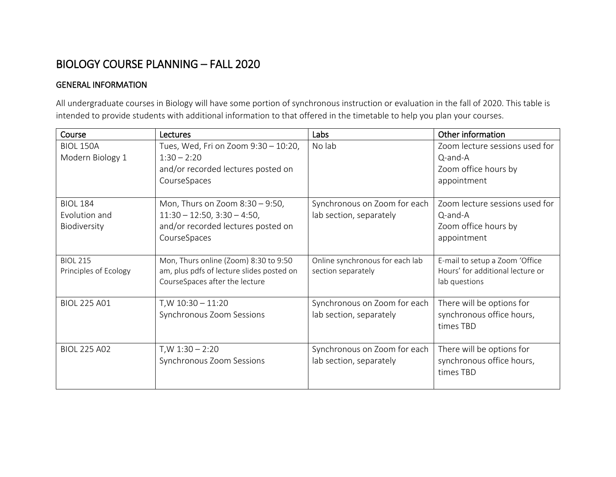## BIOLOGY COURSE PLANNING – FALL 2020

## GENERAL INFORMATION

All undergraduate courses in Biology will have some portion of synchronous instruction or evaluation in the fall of 2020. This table is intended to provide students with additional information to that offered in the timetable to help you plan your courses.

| Course                | Lectures                                                                    | Labs                            | Other information                                 |
|-----------------------|-----------------------------------------------------------------------------|---------------------------------|---------------------------------------------------|
| <b>BIOL 150A</b>      | Tues, Wed, Fri on Zoom 9:30 - 10:20,                                        | No lab                          | Zoom lecture sessions used for                    |
| Modern Biology 1      | $1:30 - 2:20$                                                               |                                 | Q-and-A                                           |
|                       | and/or recorded lectures posted on                                          |                                 | Zoom office hours by                              |
|                       | CourseSpaces                                                                |                                 | appointment                                       |
|                       |                                                                             |                                 |                                                   |
| <b>BIOL 184</b>       | Mon, Thurs on Zoom $8:30 - 9:50$ ,                                          | Synchronous on Zoom for each    | Zoom lecture sessions used for                    |
| Evolution and         | $11:30 - 12:50, 3:30 - 4:50,$                                               | lab section, separately         | Q-and-A                                           |
| Biodiversity          | and/or recorded lectures posted on                                          |                                 | Zoom office hours by                              |
|                       | CourseSpaces                                                                |                                 | appointment                                       |
|                       |                                                                             |                                 |                                                   |
| <b>BIOL 215</b>       | Mon, Thurs online (Zoom) 8:30 to 9:50                                       | Online synchronous for each lab | E-mail to setup a Zoom 'Office                    |
| Principles of Ecology | am, plus pdfs of lecture slides posted on<br>CourseSpaces after the lecture | section separately              | Hours' for additional lecture or<br>lab questions |
|                       |                                                                             |                                 |                                                   |
| <b>BIOL 225 A01</b>   | $T/W 10:30 - 11:20$                                                         | Synchronous on Zoom for each    | There will be options for                         |
|                       | Synchronous Zoom Sessions                                                   | lab section, separately         | synchronous office hours,                         |
|                       |                                                                             |                                 | times TBD                                         |
|                       |                                                                             |                                 |                                                   |
| <b>BIOL 225 A02</b>   | $T/W 1:30 - 2:20$                                                           | Synchronous on Zoom for each    | There will be options for                         |
|                       | Synchronous Zoom Sessions                                                   | lab section, separately         | synchronous office hours,                         |
|                       |                                                                             |                                 | times TBD                                         |
|                       |                                                                             |                                 |                                                   |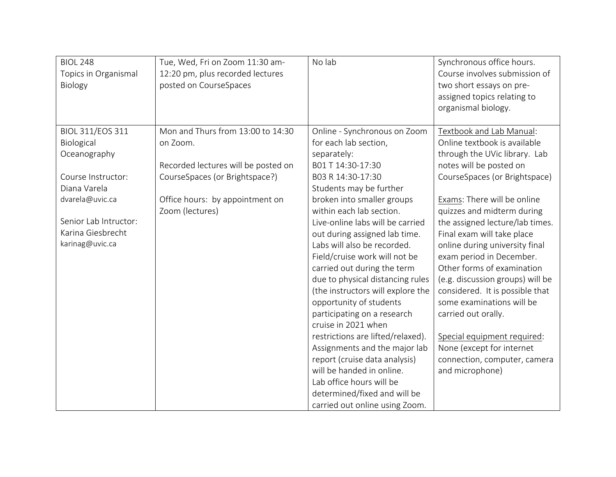| <b>BIOL 248</b><br>Topics in Organismal<br>Biology                                                                                                                              | Tue, Wed, Fri on Zoom 11:30 am-<br>12:20 pm, plus recorded lectures<br>posted on CourseSpaces                                                                                | No lab                                                                                                                                                                                                                                                                                                                                                                                                                                                                                                                                                                                                                                                                                                                                                              | Synchronous office hours.<br>Course involves submission of<br>two short essays on pre-<br>assigned topics relating to<br>organismal biology.                                                                                                                                                                                                                                                                                                                                                                                                                                                                              |
|---------------------------------------------------------------------------------------------------------------------------------------------------------------------------------|------------------------------------------------------------------------------------------------------------------------------------------------------------------------------|---------------------------------------------------------------------------------------------------------------------------------------------------------------------------------------------------------------------------------------------------------------------------------------------------------------------------------------------------------------------------------------------------------------------------------------------------------------------------------------------------------------------------------------------------------------------------------------------------------------------------------------------------------------------------------------------------------------------------------------------------------------------|---------------------------------------------------------------------------------------------------------------------------------------------------------------------------------------------------------------------------------------------------------------------------------------------------------------------------------------------------------------------------------------------------------------------------------------------------------------------------------------------------------------------------------------------------------------------------------------------------------------------------|
| <b>BIOL 311/EOS 311</b><br>Biological<br>Oceanography<br>Course Instructor:<br>Diana Varela<br>dvarela@uvic.ca<br>Senior Lab Intructor:<br>Karina Giesbrecht<br>karinag@uvic.ca | Mon and Thurs from 13:00 to 14:30<br>on Zoom.<br>Recorded lectures will be posted on<br>CourseSpaces (or Brightspace?)<br>Office hours: by appointment on<br>Zoom (lectures) | Online - Synchronous on Zoom<br>for each lab section,<br>separately:<br>B01 T 14:30-17:30<br>B03 R 14:30-17:30<br>Students may be further<br>broken into smaller groups<br>within each lab section.<br>Live-online labs will be carried<br>out during assigned lab time.<br>Labs will also be recorded.<br>Field/cruise work will not be<br>carried out during the term<br>due to physical distancing rules<br>(the instructors will explore the<br>opportunity of students<br>participating on a research<br>cruise in 2021 when<br>restrictions are lifted/relaxed).<br>Assignments and the major lab<br>report (cruise data analysis)<br>will be handed in online.<br>Lab office hours will be<br>determined/fixed and will be<br>carried out online using Zoom. | Textbook and Lab Manual:<br>Online textbook is available<br>through the UVic library. Lab<br>notes will be posted on<br>CourseSpaces (or Brightspace)<br>Exams: There will be online<br>quizzes and midterm during<br>the assigned lecture/lab times.<br>Final exam will take place<br>online during university final<br>exam period in December.<br>Other forms of examination<br>(e.g. discussion groups) will be<br>considered. It is possible that<br>some examinations will be<br>carried out orally.<br>Special equipment required:<br>None (except for internet<br>connection, computer, camera<br>and microphone) |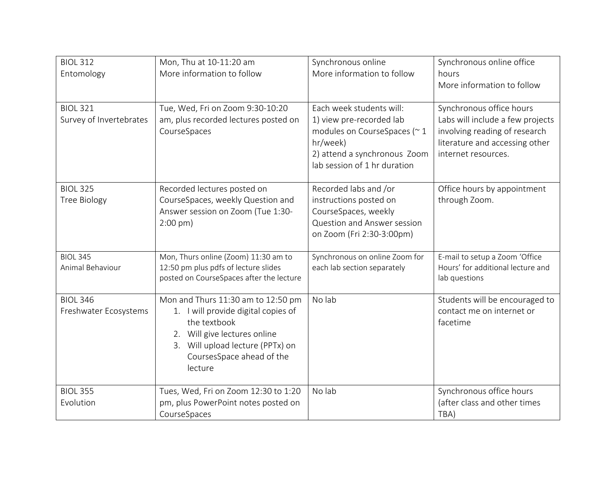| <b>BIOL 312</b><br>Entomology              | Mon, Thu at 10-11:20 am<br>More information to follow                                                                                                                                                    | Synchronous online<br>More information to follow                                                                                                                | Synchronous online office<br>hours<br>More information to follow                                                                                       |
|--------------------------------------------|----------------------------------------------------------------------------------------------------------------------------------------------------------------------------------------------------------|-----------------------------------------------------------------------------------------------------------------------------------------------------------------|--------------------------------------------------------------------------------------------------------------------------------------------------------|
| <b>BIOL 321</b><br>Survey of Invertebrates | Tue, Wed, Fri on Zoom 9:30-10:20<br>am, plus recorded lectures posted on<br>CourseSpaces                                                                                                                 | Each week students will:<br>1) view pre-recorded lab<br>modules on CourseSpaces (~1<br>hr/week)<br>2) attend a synchronous Zoom<br>lab session of 1 hr duration | Synchronous office hours<br>Labs will include a few projects<br>involving reading of research<br>literature and accessing other<br>internet resources. |
| <b>BIOL 325</b><br><b>Tree Biology</b>     | Recorded lectures posted on<br>CourseSpaces, weekly Question and<br>Answer session on Zoom (Tue 1:30-<br>$2:00 \text{ pm}$ )                                                                             | Recorded labs and /or<br>instructions posted on<br>CourseSpaces, weekly<br>Question and Answer session<br>on Zoom (Fri 2:30-3:00pm)                             | Office hours by appointment<br>through Zoom.                                                                                                           |
| <b>BIOL 345</b><br>Animal Behaviour        | Mon, Thurs online (Zoom) 11:30 am to<br>12:50 pm plus pdfs of lecture slides<br>posted on CourseSpaces after the lecture                                                                                 | Synchronous on online Zoom for<br>each lab section separately                                                                                                   | E-mail to setup a Zoom 'Office<br>Hours' for additional lecture and<br>lab questions                                                                   |
| <b>BIOL 346</b><br>Freshwater Ecosystems   | Mon and Thurs 11:30 am to 12:50 pm<br>1. I will provide digital copies of<br>the textbook<br>2. Will give lectures online<br>Will upload lecture (PPTx) on<br>3.<br>CoursesSpace ahead of the<br>lecture | No lab                                                                                                                                                          | Students will be encouraged to<br>contact me on internet or<br>facetime                                                                                |
| <b>BIOL 355</b><br>Evolution               | Tues, Wed, Fri on Zoom 12:30 to 1:20<br>pm, plus PowerPoint notes posted on<br>CourseSpaces                                                                                                              | No lab                                                                                                                                                          | Synchronous office hours<br>(after class and other times<br>TBA)                                                                                       |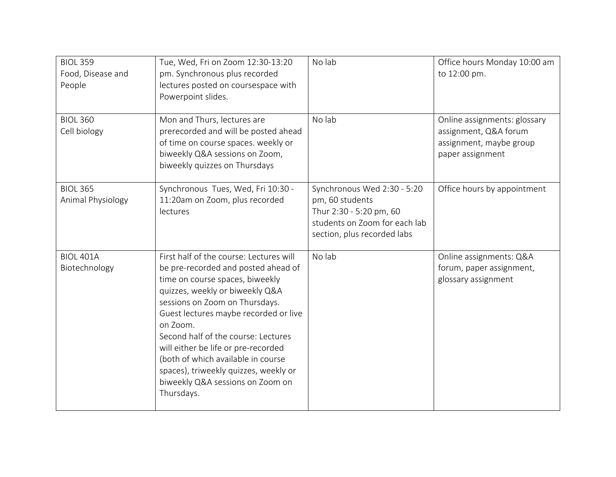| <b>BIOL 359</b><br>Food, Disease and<br>People | Tue, Wed, Fri on Zoom 12:30-13:20<br>pm. Synchronous plus recorded<br>lectures posted on coursespace with<br>Powerpoint slides.                                                                                                                                                                                                                                                                                                                            | No lab                                                                                                                                    | Office hours Monday 10:00 am<br>to 12:00 pm.                                                         |
|------------------------------------------------|------------------------------------------------------------------------------------------------------------------------------------------------------------------------------------------------------------------------------------------------------------------------------------------------------------------------------------------------------------------------------------------------------------------------------------------------------------|-------------------------------------------------------------------------------------------------------------------------------------------|------------------------------------------------------------------------------------------------------|
| <b>BIOL 360</b><br>Cell biology                | Mon and Thurs, lectures are<br>prerecorded and will be posted ahead<br>of time on course spaces. weekly or<br>biweekly Q&A sessions on Zoom,<br>biweekly quizzes on Thursdays                                                                                                                                                                                                                                                                              | No lab                                                                                                                                    | Online assignments: glossary<br>assignment, Q&A forum<br>assignment, maybe group<br>paper assignment |
| <b>BIOL 365</b><br>Animal Physiology           | Synchronous Tues, Wed, Fri 10:30 -<br>11:20am on Zoom, plus recorded<br>lectures                                                                                                                                                                                                                                                                                                                                                                           | Synchronous Wed 2:30 - 5:20<br>pm, 60 students<br>Thur 2:30 - 5:20 pm, 60<br>students on Zoom for each lab<br>section, plus recorded labs | Office hours by appointment                                                                          |
| <b>BIOL 401A</b><br>Biotechnology              | First half of the course: Lectures will<br>be pre-recorded and posted ahead of<br>time on course spaces, biweekly<br>quizzes, weekly or biweekly Q&A<br>sessions on Zoom on Thursdays.<br>Guest lectures maybe recorded or live<br>on Zoom.<br>Second half of the course: Lectures<br>will either be life or pre-recorded<br>(both of which available in course<br>spaces), triweekly quizzes, weekly or<br>biweekly Q&A sessions on Zoom on<br>Thursdays. | No lab                                                                                                                                    | Online assignments: Q&A<br>forum, paper assignment,<br>glossary assignment                           |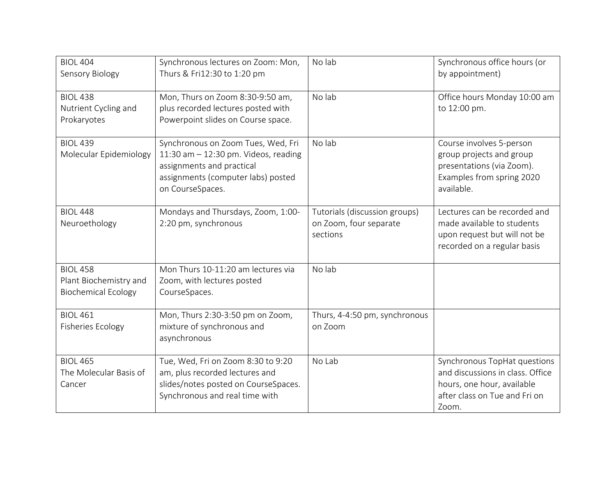| <b>BIOL 404</b><br>Sensory Biology                                      | Synchronous lectures on Zoom: Mon,<br>Thurs & Fri12:30 to 1:20 pm                                                                                                   | No lab                                                              | Synchronous office hours (or<br>by appointment)                                                                                          |
|-------------------------------------------------------------------------|---------------------------------------------------------------------------------------------------------------------------------------------------------------------|---------------------------------------------------------------------|------------------------------------------------------------------------------------------------------------------------------------------|
| <b>BIOL 438</b><br>Nutrient Cycling and<br>Prokaryotes                  | Mon, Thurs on Zoom 8:30-9:50 am,<br>plus recorded lectures posted with<br>Powerpoint slides on Course space.                                                        | No lab                                                              | Office hours Monday 10:00 am<br>to 12:00 pm.                                                                                             |
| <b>BIOL 439</b><br>Molecular Epidemiology                               | Synchronous on Zoom Tues, Wed, Fri<br>11:30 am $-$ 12:30 pm. Videos, reading<br>assignments and practical<br>assignments (computer labs) posted<br>on CourseSpaces. | No lab                                                              | Course involves 5-person<br>group projects and group<br>presentations (via Zoom).<br>Examples from spring 2020<br>available.             |
| <b>BIOL 448</b><br>Neuroethology                                        | Mondays and Thursdays, Zoom, 1:00-<br>2:20 pm, synchronous                                                                                                          | Tutorials (discussion groups)<br>on Zoom, four separate<br>sections | Lectures can be recorded and<br>made available to students<br>upon request but will not be<br>recorded on a regular basis                |
| <b>BIOL 458</b><br>Plant Biochemistry and<br><b>Biochemical Ecology</b> | Mon Thurs 10-11:20 am lectures via<br>Zoom, with lectures posted<br>CourseSpaces.                                                                                   | No lab                                                              |                                                                                                                                          |
| <b>BIOL 461</b><br><b>Fisheries Ecology</b>                             | Mon, Thurs 2:30-3:50 pm on Zoom,<br>mixture of synchronous and<br>asynchronous                                                                                      | Thurs, 4-4:50 pm, synchronous<br>on Zoom                            |                                                                                                                                          |
| <b>BIOL 465</b><br>The Molecular Basis of<br>Cancer                     | Tue, Wed, Fri on Zoom 8:30 to 9:20<br>am, plus recorded lectures and<br>slides/notes posted on CourseSpaces.<br>Synchronous and real time with                      | No Lab                                                              | Synchronous TopHat questions<br>and discussions in class. Office<br>hours, one hour, available<br>after class on Tue and Fri on<br>Zoom. |